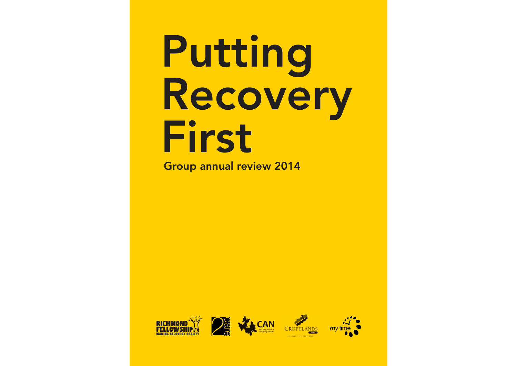### Putting Recovery First Group annual review 2014







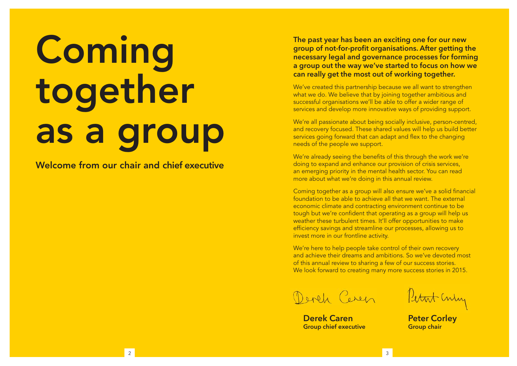# **Coming** together as a group

Welcome from our **chair** and **chief executive**

**The past year has been an exciting one for our new group of not-for-profit organisations. After getting the necessary legal and governance processes for forming a group out the way we've started to focus on how we can really get the most out of working together.**

We've created this partnership because we all want to strengthen what we do. We believe that by joining together ambitious and successful organisations we'll be able to offer a wider range of services and develop more innovative ways of providing support.

We're all passionate about being socially inclusive, person-centred, and recovery focused. These shared values will help us build better services going forward that can adapt and flex to the changing needs of the people we support.

We're already seeing the benefits of this through the work we're doing to expand and enhance our provision of crisis services, an emerging priority in the mental health sector. You can read more about what we're doing in this annual review.

Coming together as a group will also ensure we've a solid financial foundation to be able to achieve all that we want. The external economic climate and contracting environment continue to be tough but we're confident that operating as a group will help us weather these turbulent times. It'll offer opportunities to make efficiency savings and streamline our processes, allowing us to invest more in our frontline activity.

We're here to help people take control of their own recovery and achieve their dreams and ambitions. So we've devoted most of this annual review to sharing a few of our success stories. We look forward to creating many more success stories in 2015.

Derek Ceren

**Derek Caren Group chief executive**

Petat Culy

**Peter Corley Group chair**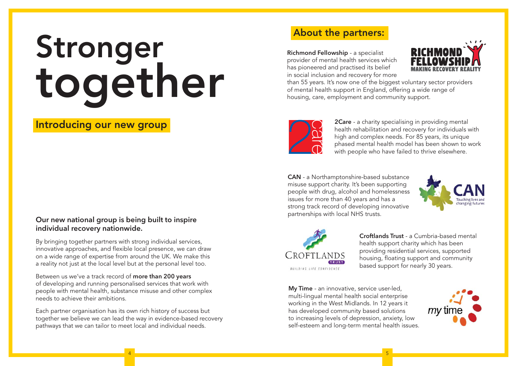## Stronger together

#### Introducing our new group

#### **Our new national group is being built to inspire individual recovery nationwide.**

By bringing together partners with strong individual services, innovative approaches, and flexible local presence, we can draw on a wide range of expertise from around the UK. We make this a reality not just at the local level but at the personal level too.

Between us we've a track record of **more than 200 years**  of developing and running personalised services that work with people with mental health, substance misuse and other complex needs to achieve their ambitions.

Each partner organisation has its own rich history of success but together we believe we can lead the way in evidence-based recovery pathways that we can tailor to meet local and individual needs.

#### About the partners:

**Richmond Fellowship** - a specialist provider of mental health services which has pioneered and practised its belief in social inclusion and recovery for more



than 55 years. It's now one of the biggest voluntary sector providers of mental health support in England, offering a wide range of housing, care, employment and community support.



**2Care** - a charity specialising in providing mental health rehabilitation and recovery for individuals with high and complex needs. For 85 years, its unique phased mental health model has been shown to work with people who have failed to thrive elsewhere.

**CAN** - a Northamptonshire-based substance misuse support charity. It's been supporting people with drug, alcohol and homelessness issues for more than 40 years and has a strong track record of developing innovative partnerships with local NHS trusts.





4 and 2011 and 2012 and 2012 and 2012 and 2012 and 2012 and 2012 and 2012 and 2012 and 2012 and 2013 and 2013

**Croftlands Trust** - a Cumbria-based mental health support charity which has been providing residential services, supported housing, floating support and community based support for nearly 30 years.

**My Time** - an innovative, service user-led, multi-lingual mental health social enterprise working in the West Midlands. In 12 years it has developed community based solutions to increasing levels of depression, anxiety, low self-esteem and long-term mental health issues.

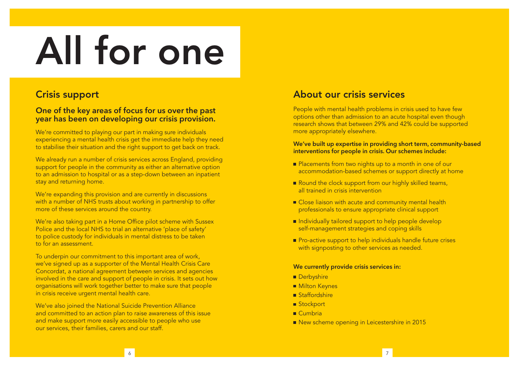# All for one

#### Crisis support

#### **One of the key areas of focus for us over the past year has been on developing our crisis provision.**

We're committed to playing our part in making sure individuals experiencing a mental health crisis get the immediate help they need to stabilise their situation and the right support to get back on track.

We already run a number of crisis services across England, providing support for people in the community as either an alternative option to an admission to hospital or as a step-down between an inpatient stay and returning home.

We're expanding this provision and are currently in discussions with a number of NHS trusts about working in partnership to offer more of these services around the country.

We're also taking part in a Home Office pilot scheme with Sussex Police and the local NHS to trial an alternative 'place of safety' to police custody for individuals in mental distress to be taken to for an assessment.

To underpin our commitment to this important area of work, we've signed up as a supporter of the Mental Health Crisis Care Concordat, a national agreement between services and agencies involved in the care and support of people in crisis. It sets out how organisations will work together better to make sure that people in crisis receive urgent mental health care.

We've also joined the National Suicide Prevention Alliance and committed to an action plan to raise awareness of this issue and make support more easily accessible to people who use our services, their families, carers and our staff.

#### About our crisis services

People with mental health problems in crisis used to have few options other than admission to an acute hospital even though research shows that between 29% and 42% could be supported more appropriately elsewhere.

#### **We've built up expertise in providing short term, community-based interventions for people in crisis. Our schemes include:**

- Placements from two nights up to a month in one of our accommodation-based schemes or support directly at home
- Round the clock support from our highly skilled teams, all trained in crisis intervention
- Close liaison with acute and community mental health professionals to ensure appropriate clinical support
- Individually tailored support to help people develop self-management strategies and coping skills
- Pro-active support to help individuals handle future crises with signposting to other services as needed.

#### **We currently provide crisis services in:**

- **Derbyshire**
- **Milton Keynes**
- Staffordshire
- Stockport
- $Cumbria$
- New scheme opening in Leicestershire in 2015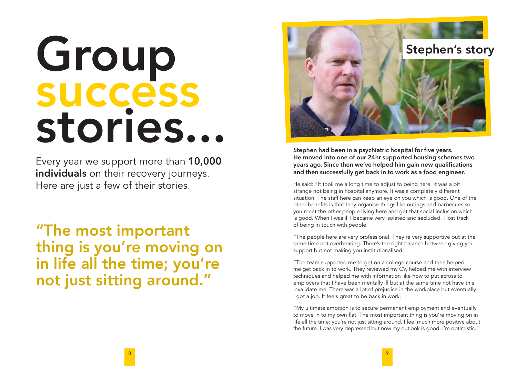## Group success stories...

Every year we support more than **10,000 individuals** on their recovery journeys. Here are just a few of their stories.

"The most important thing is you're moving on in life all the time; you're not just sitting around."



**Stephen had been in a psychiatric hospital for five years. He moved into one of our 24hr supported housing schemes two years ago. Since then we've helped him gain new qualifications and then successfully get back in to work as a food engineer.**

He said: "It took me a long time to adjust to being here. It was a bit strange not being in hospital anymore. It was a completely different situation. The staff here can keep an eye on you which is good. One of the other benefits is that they organise things like outings and barbecues so you meet the other people living here and get that social inclusion which is good. When I was ill I became very isolated and secluded. I lost track of being in touch with people.

"The people here are very professional. They're very supportive but at the same time not overbearing. There's the right balance between giving you support but not making you institutionalised.

"The team supported me to get on a college course and then helped me get back in to work. They reviewed my CV, helped me with interview techniques and helped me with information like how to put across to employers that I have been mentally ill but at the same time not have this invalidate me. There was a lot of prejudice in the workplace but eventually I got a job. It feels great to be back in work.

"My ultimate ambition is to secure permanent employment and eventually to move in to my own flat. The most important thing is you're moving on in life all the time; you're not just sitting around. I feel much more positive about the future. I was very depressed but now my outlook is good, I'm optimistic."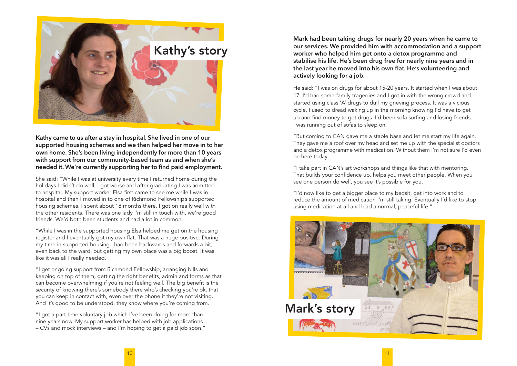

**Kathy came to us after a stay in hospital. She lived in one of our supported housing schemes and we then helped her move in to her own home. She's been living independently for more than 10 years with support from our community-based team as and when she's needed it. We're currently supporting her to find paid employment.**

She said: "While I was at university every time I returned home during the holidays I didn't do well, I got worse and after graduating I was admitted to hospital. My support worker Elsa first came to see me while I was in hospital and then I moved in to one of Richmond Fellowship's supported housing schemes. I spent about 18 months there. I got on really well with the other residents. There was one lady I'm still in touch with, we're good friends. We'd both been students and had a lot in common.

"While I was in the supported housing Elsa helped me get on the housing register and I eventually got my own flat. That was a huge positive. During my time in supported housing I had been backwards and forwards a bit, even back to the ward, but getting my own place was a big boost. It was like it was all I really needed.

"I get ongoing support from Richmond Fellowship, arranging bills and keeping on top of them, getting the right benefits, admin and forms as that can become overwhelming if you're not feeling well. The big benefit is the security of knowing there's somebody there who's checking you're ok, that you can keep in contact with, even over the phone if they're not visiting. And it's good to be understood, they know where you're coming from.

"I got a part time voluntary job which I've been doing for more than nine years now. My support worker has helped with job applications – CVs and mock interviews – and I'm hoping to get a paid job soon."

**Mark had been taking drugs for nearly 20 years when he came to our services. We provided him with accommodation and a support worker who helped him get onto a detox programme and stabilise his life. He's been drug free for nearly nine years and in the last year he moved into his own flat. He's volunteering and actively looking for a job.**

He said: "I was on drugs for about 15-20 years. It started when I was about 17. I'd had some family tragedies and I got in with the wrong crowd and started using class 'A' drugs to dull my grieving process. It was a vicious cycle. I used to dread waking up in the morning knowing I'd have to get up and find money to get drugs. I'd been sofa surfing and losing friends. I was running out of sofas to sleep on.

"But coming to CAN gave me a stable base and let me start my life again. They gave me a roof over my head and set me up with the specialist doctors and a detox programme with medication. Without them I'm not sure I'd even be here today.

"I take part in CAN's art workshops and things like that with mentoring. That builds your confidence up, helps you meet other people. When you see one person do well, you see it's possible for you.

"I'd now like to get a bigger place to my bedsit, get into work and to reduce the amount of medication I'm still taking. Eventually I'd like to stop using medication at all and lead a normal, peaceful life."

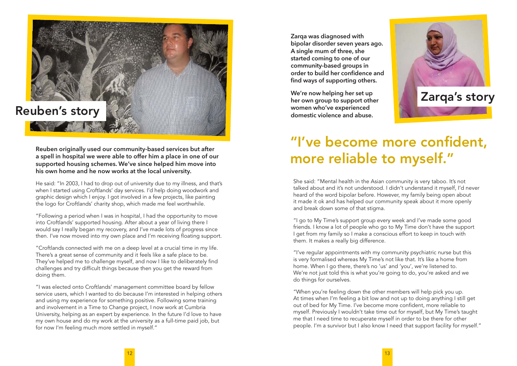

**Reuben originally used our community-based services but after a spell in hospital we were able to offer him a place in one of our supported housing schemes. We've since helped him move into his own home and he now works at the local university.**

He said: "In 2003, I had to drop out of university due to my illness, and that's when I started using Croftlands' day services. I'd help doing woodwork and graphic design which I enjoy. I got involved in a few projects, like painting the logo for Croftlands' charity shop, which made me feel worthwhile.

"Following a period when I was in hospital, I had the opportunity to move into Croftlands' supported housing. After about a year of living there I would say I really began my recovery, and I've made lots of progress since then. I've now moved into my own place and I'm receiving floating support.

"Croftlands connected with me on a deep level at a crucial time in my life. There's a great sense of community and it feels like a safe place to be. They've helped me to challenge myself, and now I like to deliberately find challenges and try difficult things because then you get the reward from doing them.

"I was elected onto Croftlands' management committee board by fellow service users, which I wanted to do because I'm interested in helping others and using my experience for something positive. Following some training and involvement in a Time to Change project, I now work at Cumbria University, helping as an expert by experience. In the future I'd love to have my own house and do my work at the university as a full-time paid job, but for now I'm feeling much more settled in myself."

**Zarqa was diagnosed with bipolar disorder seven years ago. A single mum of three, she started coming to one of our community-based groups in order to build her confidence and find ways of supporting others.** 

**We're now helping her set up her own group to support other women who've experienced domestic violence and abuse.**



### "I've become more confident, more reliable to myself."

She said: "Mental health in the Asian community is very taboo. It's not talked about and it's not understood. I didn't understand it myself, I'd never heard of the word bipolar before. However, my family being open about it made it ok and has helped our community speak about it more openly and break down some of that stigma.

"I go to My Time's support group every week and I've made some good friends. I know a lot of people who go to My Time don't have the support I get from my family so I make a conscious effort to keep in touch with them. It makes a really big difference.

"I've regular appointments with my community psychiatric nurse but this is very formalised whereas My Time's not like that. It's like a home from home. When I go there, there's no 'us' and 'you', we're listened to. We're not just told this is what you're going to do, you're asked and we do things for ourselves.

"When you're feeling down the other members will help pick you up. At times when I'm feeling a bit low and not up to doing anything I still get out of bed for My Time. I've become more confident, more reliable to myself. Previously I wouldn't take time out for myself, but My Time's taught me that I need time to recuperate myself in order to be there for other people. I'm a survivor but I also know I need that support facility for myself."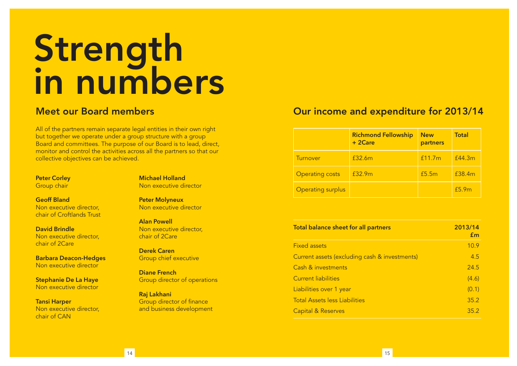### **Strength** in numbers

All of the partners remain separate legal entities in their own right but together we operate under a group structure with a group Board and committees. The purpose of our Board is to lead, direct, monitor and control the activities across all the partners so that our collective objectives can be achieved.

**Peter Corley** Group chair

**Michael Holland** Non executive director

**Geoff Bland** Non executive director, chair of Croftlands Trust

**David Brindle** Non executive director, chair of 2Care

**Barbara Deacon-Hedges** Non executive director

**Stephanie De La Haye** Non executive director

**Tansi Harper** Non executive director, chair of CAN

**Peter Molyneux**

Non executive director

**Alan Powell** Non executive director, chair of 2Care

**Derek Caren** Group chief executive

**Diane French** Group director of operations

**Raj Lakhani** Group director of finance and business development

#### Meet our Board members Our income and expenditure for 2013/14

|                          | <b>Richmond Fellowship</b><br>$+2Care$ | <b>New</b><br>partners | <b>Total</b> |
|--------------------------|----------------------------------------|------------------------|--------------|
| Turnover                 | £32.6m                                 | f11.7m                 | f44.3m       |
| <b>Operating costs</b>   | f32.9m                                 | £5.5m                  | £38.4m       |
| <b>Operating surplus</b> |                                        |                        | £5.9m        |

| Total balance sheet for all partners          | 2013/14<br>Em |
|-----------------------------------------------|---------------|
| <b>Fixed assets</b>                           | 10.9          |
| Current assets (excluding cash & investments) | 4.5           |
| <b>Cash &amp; investments</b>                 | 24.5          |
| <b>Current liabilities</b>                    | (4.6)         |
| Liabilities over 1 year                       | (0.1)         |
| <b>Total Assets less Liabilities</b>          | 35.2          |
| <b>Capital &amp; Reserves</b>                 | 35.2          |